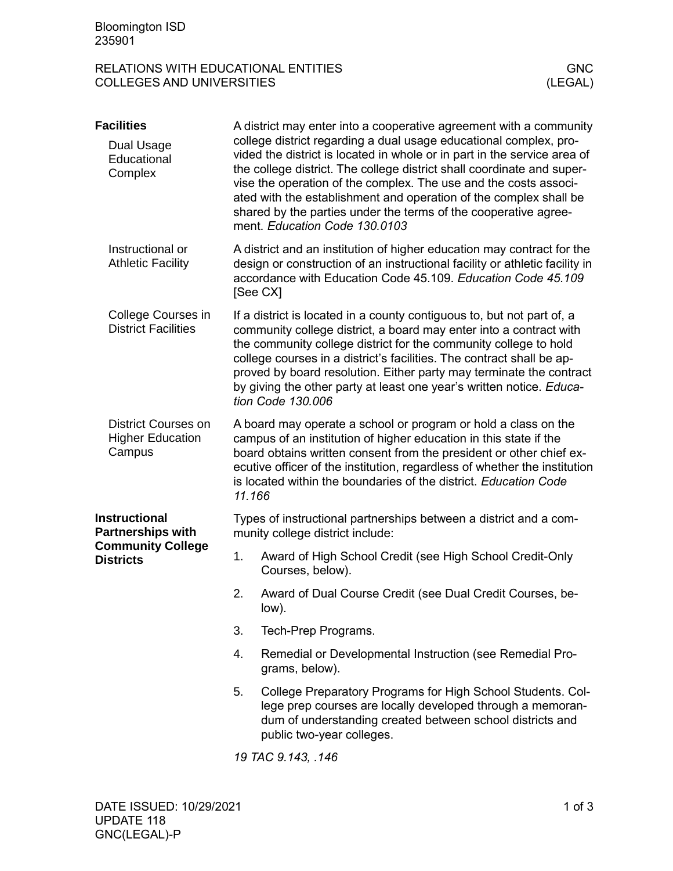## RELATIONS WITH EDUCATIONAL ENTITIES<br>COLLEGES AND UNIVERSITIES (LEGAL) COLLEGES AND UNIVERSITIES

| <b>Facilities</b>                                                                                |                                                                                                                                                                                                                                                                                                                                                                                                                                                               | A district may enter into a cooperative agreement with a community                                                                                                                                                                                                                                                                                                                                                                                                   |  |  |
|--------------------------------------------------------------------------------------------------|---------------------------------------------------------------------------------------------------------------------------------------------------------------------------------------------------------------------------------------------------------------------------------------------------------------------------------------------------------------------------------------------------------------------------------------------------------------|----------------------------------------------------------------------------------------------------------------------------------------------------------------------------------------------------------------------------------------------------------------------------------------------------------------------------------------------------------------------------------------------------------------------------------------------------------------------|--|--|
| Dual Usage<br>Educational<br>Complex                                                             |                                                                                                                                                                                                                                                                                                                                                                                                                                                               | college district regarding a dual usage educational complex, pro-<br>vided the district is located in whole or in part in the service area of<br>the college district. The college district shall coordinate and super-<br>vise the operation of the complex. The use and the costs associ-<br>ated with the establishment and operation of the complex shall be<br>shared by the parties under the terms of the cooperative agree-<br>ment. Education Code 130.0103 |  |  |
| Instructional or<br><b>Athletic Facility</b>                                                     |                                                                                                                                                                                                                                                                                                                                                                                                                                                               | A district and an institution of higher education may contract for the<br>design or construction of an instructional facility or athletic facility in<br>accordance with Education Code 45.109. Education Code 45.109<br>[See CX]                                                                                                                                                                                                                                    |  |  |
| College Courses in<br><b>District Facilities</b>                                                 | If a district is located in a county contiguous to, but not part of, a<br>community college district, a board may enter into a contract with<br>the community college district for the community college to hold<br>college courses in a district's facilities. The contract shall be ap-<br>proved by board resolution. Either party may terminate the contract<br>by giving the other party at least one year's written notice. Educa-<br>tion Code 130.006 |                                                                                                                                                                                                                                                                                                                                                                                                                                                                      |  |  |
| <b>District Courses on</b><br><b>Higher Education</b><br>Campus                                  | A board may operate a school or program or hold a class on the<br>campus of an institution of higher education in this state if the<br>board obtains written consent from the president or other chief ex-<br>ecutive officer of the institution, regardless of whether the institution<br>is located within the boundaries of the district. Education Code<br>11.166                                                                                         |                                                                                                                                                                                                                                                                                                                                                                                                                                                                      |  |  |
| <b>Instructional</b><br><b>Partnerships with</b><br><b>Community College</b><br><b>Districts</b> | Types of instructional partnerships between a district and a com-<br>munity college district include:                                                                                                                                                                                                                                                                                                                                                         |                                                                                                                                                                                                                                                                                                                                                                                                                                                                      |  |  |
|                                                                                                  | 1.                                                                                                                                                                                                                                                                                                                                                                                                                                                            | Award of High School Credit (see High School Credit-Only<br>Courses, below).                                                                                                                                                                                                                                                                                                                                                                                         |  |  |
|                                                                                                  | 2.                                                                                                                                                                                                                                                                                                                                                                                                                                                            | Award of Dual Course Credit (see Dual Credit Courses, be-<br>low).                                                                                                                                                                                                                                                                                                                                                                                                   |  |  |
|                                                                                                  | 3.                                                                                                                                                                                                                                                                                                                                                                                                                                                            | Tech-Prep Programs.                                                                                                                                                                                                                                                                                                                                                                                                                                                  |  |  |
|                                                                                                  | 4.                                                                                                                                                                                                                                                                                                                                                                                                                                                            | Remedial or Developmental Instruction (see Remedial Pro-<br>grams, below).                                                                                                                                                                                                                                                                                                                                                                                           |  |  |
|                                                                                                  | 5.                                                                                                                                                                                                                                                                                                                                                                                                                                                            | College Preparatory Programs for High School Students. Col-<br>lege prep courses are locally developed through a memoran-<br>dum of understanding created between school districts and<br>public two-year colleges.                                                                                                                                                                                                                                                  |  |  |
|                                                                                                  |                                                                                                                                                                                                                                                                                                                                                                                                                                                               | 19 TAC 9.143, .146                                                                                                                                                                                                                                                                                                                                                                                                                                                   |  |  |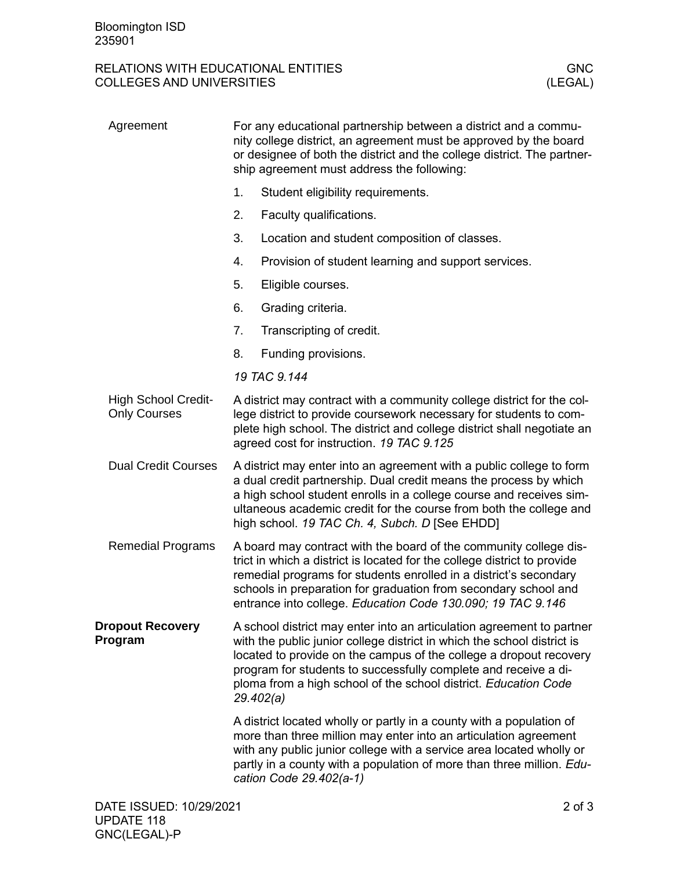## RELATIONS WITH EDUCATIONAL ENTITIES<br>COLLEGES AND UNIVERSITIES (LEGAL) COLLEGES AND UNIVERSITIES

| Agreement                                         | For any educational partnership between a district and a commu-<br>nity college district, an agreement must be approved by the board<br>or designee of both the district and the college district. The partner-<br>ship agreement must address the following:                                                                                                             |                                                                                                                                                                                                                                                                                                                      |  |
|---------------------------------------------------|---------------------------------------------------------------------------------------------------------------------------------------------------------------------------------------------------------------------------------------------------------------------------------------------------------------------------------------------------------------------------|----------------------------------------------------------------------------------------------------------------------------------------------------------------------------------------------------------------------------------------------------------------------------------------------------------------------|--|
|                                                   | 1.                                                                                                                                                                                                                                                                                                                                                                        | Student eligibility requirements.                                                                                                                                                                                                                                                                                    |  |
|                                                   | 2.                                                                                                                                                                                                                                                                                                                                                                        | Faculty qualifications.                                                                                                                                                                                                                                                                                              |  |
|                                                   | 3.                                                                                                                                                                                                                                                                                                                                                                        | Location and student composition of classes.                                                                                                                                                                                                                                                                         |  |
|                                                   | 4.                                                                                                                                                                                                                                                                                                                                                                        | Provision of student learning and support services.                                                                                                                                                                                                                                                                  |  |
|                                                   | 5.                                                                                                                                                                                                                                                                                                                                                                        | Eligible courses.                                                                                                                                                                                                                                                                                                    |  |
|                                                   | 6.                                                                                                                                                                                                                                                                                                                                                                        | Grading criteria.                                                                                                                                                                                                                                                                                                    |  |
|                                                   | 7.                                                                                                                                                                                                                                                                                                                                                                        | Transcripting of credit.                                                                                                                                                                                                                                                                                             |  |
|                                                   | 8.                                                                                                                                                                                                                                                                                                                                                                        | Funding provisions.                                                                                                                                                                                                                                                                                                  |  |
|                                                   |                                                                                                                                                                                                                                                                                                                                                                           | 19 TAC 9.144                                                                                                                                                                                                                                                                                                         |  |
| <b>High School Credit-</b><br><b>Only Courses</b> | A district may contract with a community college district for the col-<br>lege district to provide coursework necessary for students to com-<br>plete high school. The district and college district shall negotiate an<br>agreed cost for instruction. 19 TAC 9.125                                                                                                      |                                                                                                                                                                                                                                                                                                                      |  |
| <b>Dual Credit Courses</b>                        | A district may enter into an agreement with a public college to form<br>a dual credit partnership. Dual credit means the process by which<br>a high school student enrolls in a college course and receives sim-<br>ultaneous academic credit for the course from both the college and<br>high school. 19 TAC Ch. 4, Subch. D [See EHDD]                                  |                                                                                                                                                                                                                                                                                                                      |  |
| <b>Remedial Programs</b>                          | A board may contract with the board of the community college dis-<br>trict in which a district is located for the college district to provide<br>remedial programs for students enrolled in a district's secondary<br>schools in preparation for graduation from secondary school and<br>entrance into college. Education Code 130.090; 19 TAC 9.146                      |                                                                                                                                                                                                                                                                                                                      |  |
| <b>Dropout Recovery</b><br>Program                | A school district may enter into an articulation agreement to partner<br>with the public junior college district in which the school district is<br>located to provide on the campus of the college a dropout recovery<br>program for students to successfully complete and receive a di-<br>ploma from a high school of the school district. Education Code<br>29.402(a) |                                                                                                                                                                                                                                                                                                                      |  |
|                                                   |                                                                                                                                                                                                                                                                                                                                                                           | A district located wholly or partly in a county with a population of<br>more than three million may enter into an articulation agreement<br>with any public junior college with a service area located wholly or<br>partly in a county with a population of more than three million. Edu-<br>cation Code 29.402(a-1) |  |
| DATE ISSUED: 10/29/2021                           |                                                                                                                                                                                                                                                                                                                                                                           | $2$ of $3$                                                                                                                                                                                                                                                                                                           |  |